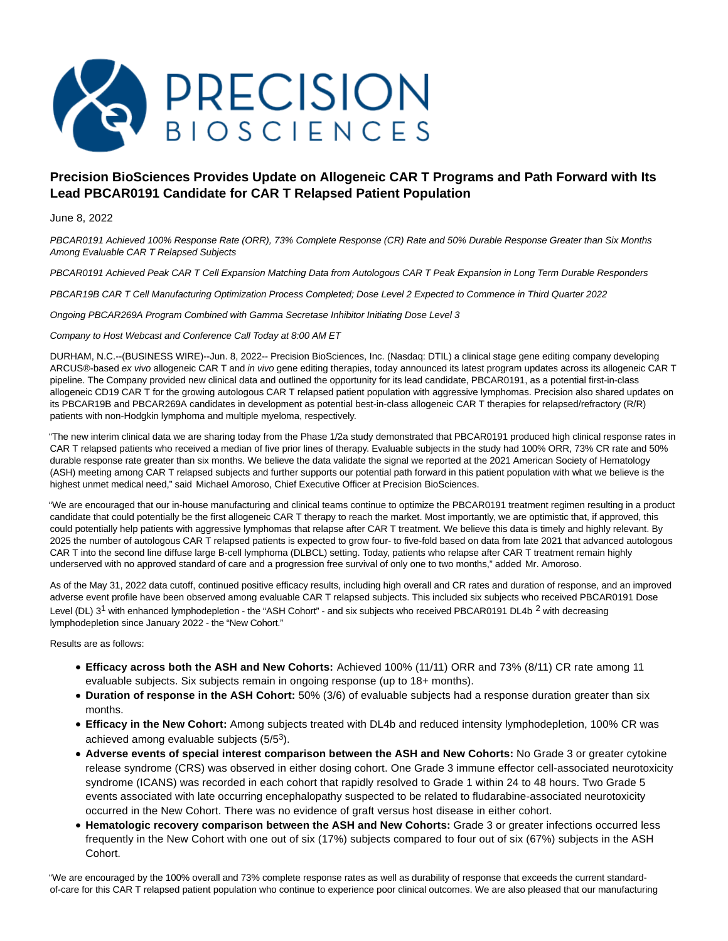

# **Precision BioSciences Provides Update on Allogeneic CAR T Programs and Path Forward with Its Lead PBCAR0191 Candidate for CAR T Relapsed Patient Population**

## June 8, 2022

PBCAR0191 Achieved 100% Response Rate (ORR), 73% Complete Response (CR) Rate and 50% Durable Response Greater than Six Months Among Evaluable CAR T Relapsed Subjects

PBCAR0191 Achieved Peak CAR T Cell Expansion Matching Data from Autologous CAR T Peak Expansion in Long Term Durable Responders

PBCAR19B CAR T Cell Manufacturing Optimization Process Completed; Dose Level 2 Expected to Commence in Third Quarter 2022

Ongoing PBCAR269A Program Combined with Gamma Secretase Inhibitor Initiating Dose Level 3

Company to Host Webcast and Conference Call Today at 8:00 AM ET

DURHAM, N.C.--(BUSINESS WIRE)--Jun. 8, 2022-- Precision BioSciences, Inc. (Nasdaq: DTIL) a clinical stage gene editing company developing ARCUS®-based ex vivo allogeneic CAR T and in vivo gene editing therapies, today announced its latest program updates across its allogeneic CAR T pipeline. The Company provided new clinical data and outlined the opportunity for its lead candidate, PBCAR0191, as a potential first-in-class allogeneic CD19 CAR T for the growing autologous CAR T relapsed patient population with aggressive lymphomas. Precision also shared updates on its PBCAR19B and PBCAR269A candidates in development as potential best-in-class allogeneic CAR T therapies for relapsed/refractory (R/R) patients with non-Hodgkin lymphoma and multiple myeloma, respectively.

"The new interim clinical data we are sharing today from the Phase 1/2a study demonstrated that PBCAR0191 produced high clinical response rates in CAR T relapsed patients who received a median of five prior lines of therapy. Evaluable subjects in the study had 100% ORR, 73% CR rate and 50% durable response rate greater than six months. We believe the data validate the signal we reported at the 2021 American Society of Hematology (ASH) meeting among CAR T relapsed subjects and further supports our potential path forward in this patient population with what we believe is the highest unmet medical need," said Michael Amoroso, Chief Executive Officer at Precision BioSciences.

"We are encouraged that our in-house manufacturing and clinical teams continue to optimize the PBCAR0191 treatment regimen resulting in a product candidate that could potentially be the first allogeneic CAR T therapy to reach the market. Most importantly, we are optimistic that, if approved, this could potentially help patients with aggressive lymphomas that relapse after CAR T treatment. We believe this data is timely and highly relevant. By 2025 the number of autologous CAR T relapsed patients is expected to grow four- to five-fold based on data from late 2021 that advanced autologous CAR T into the second line diffuse large B-cell lymphoma (DLBCL) setting. Today, patients who relapse after CAR T treatment remain highly underserved with no approved standard of care and a progression free survival of only one to two months," added Mr. Amoroso.

As of the May 31, 2022 data cutoff, continued positive efficacy results, including high overall and CR rates and duration of response, and an improved adverse event profile have been observed among evaluable CAR T relapsed subjects. This included six subjects who received PBCAR0191 Dose Level (DL) 3<sup>1</sup> with enhanced lymphodepletion - the "ASH Cohort" - and six subjects who received PBCAR0191 DL4b <sup>2</sup> with decreasing lymphodepletion since January 2022 - the "New Cohort."

Results are as follows:

- **Efficacy across both the ASH and New Cohorts:** Achieved 100% (11/11) ORR and 73% (8/11) CR rate among 11 evaluable subjects. Six subjects remain in ongoing response (up to 18+ months).
- **Duration of response in the ASH Cohort:** 50% (3/6) of evaluable subjects had a response duration greater than six months.
- **Efficacy in the New Cohort:** Among subjects treated with DL4b and reduced intensity lymphodepletion, 100% CR was achieved among evaluable subjects (5/5<sup>3</sup>).
- **Adverse events of special interest comparison between the ASH and New Cohorts:** No Grade 3 or greater cytokine release syndrome (CRS) was observed in either dosing cohort. One Grade 3 immune effector cell-associated neurotoxicity syndrome (ICANS) was recorded in each cohort that rapidly resolved to Grade 1 within 24 to 48 hours. Two Grade 5 events associated with late occurring encephalopathy suspected to be related to fludarabine-associated neurotoxicity occurred in the New Cohort. There was no evidence of graft versus host disease in either cohort.
- **Hematologic recovery comparison between the ASH and New Cohorts:** Grade 3 or greater infections occurred less frequently in the New Cohort with one out of six (17%) subjects compared to four out of six (67%) subjects in the ASH Cohort.

"We are encouraged by the 100% overall and 73% complete response rates as well as durability of response that exceeds the current standardof-care for this CAR T relapsed patient population who continue to experience poor clinical outcomes. We are also pleased that our manufacturing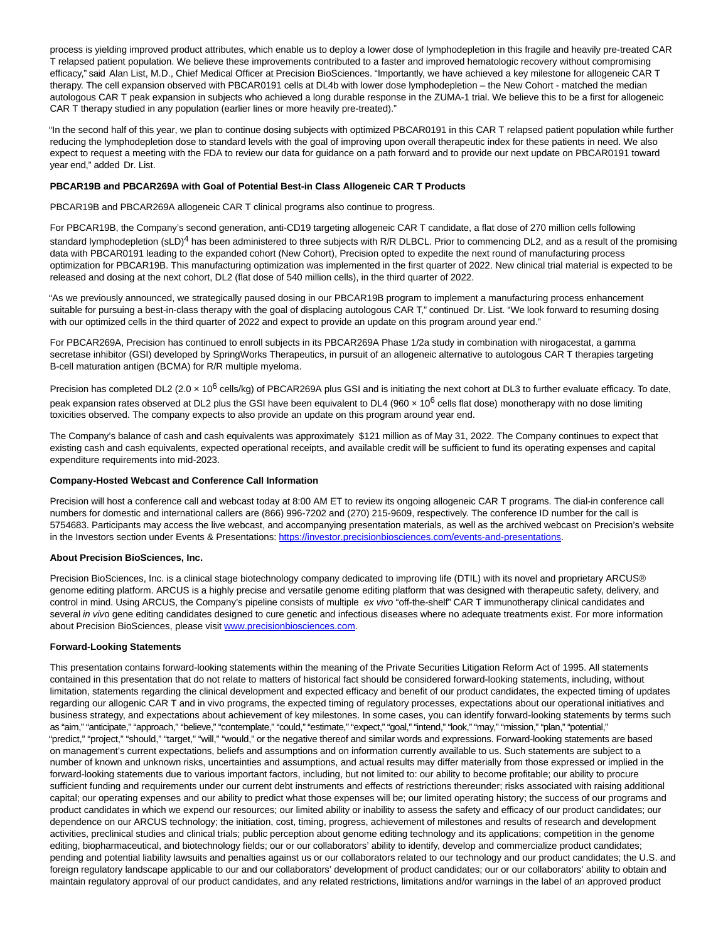process is yielding improved product attributes, which enable us to deploy a lower dose of lymphodepletion in this fragile and heavily pre-treated CAR T relapsed patient population. We believe these improvements contributed to a faster and improved hematologic recovery without compromising efficacy," said Alan List, M.D., Chief Medical Officer at Precision BioSciences. "Importantly, we have achieved a key milestone for allogeneic CAR T therapy. The cell expansion observed with PBCAR0191 cells at DL4b with lower dose lymphodepletion – the New Cohort - matched the median autologous CAR T peak expansion in subjects who achieved a long durable response in the ZUMA-1 trial. We believe this to be a first for allogeneic CAR T therapy studied in any population (earlier lines or more heavily pre-treated)."

"In the second half of this year, we plan to continue dosing subjects with optimized PBCAR0191 in this CAR T relapsed patient population while further reducing the lymphodepletion dose to standard levels with the goal of improving upon overall therapeutic index for these patients in need. We also expect to request a meeting with the FDA to review our data for guidance on a path forward and to provide our next update on PBCAR0191 toward year end," added Dr. List.

#### **PBCAR19B and PBCAR269A with Goal of Potential Best-in Class Allogeneic CAR T Products**

PBCAR19B and PBCAR269A allogeneic CAR T clinical programs also continue to progress.

For PBCAR19B, the Company's second generation, anti-CD19 targeting allogeneic CAR T candidate, a flat dose of 270 million cells following standard lymphodepletion (sLD)<sup>4</sup> has been administered to three subjects with R/R DLBCL. Prior to commencing DL2, and as a result of the promising data with PBCAR0191 leading to the expanded cohort (New Cohort), Precision opted to expedite the next round of manufacturing process optimization for PBCAR19B. This manufacturing optimization was implemented in the first quarter of 2022. New clinical trial material is expected to be released and dosing at the next cohort, DL2 (flat dose of 540 million cells), in the third quarter of 2022.

"As we previously announced, we strategically paused dosing in our PBCAR19B program to implement a manufacturing process enhancement suitable for pursuing a best-in-class therapy with the goal of displacing autologous CAR T," continued Dr. List. "We look forward to resuming dosing with our optimized cells in the third quarter of 2022 and expect to provide an update on this program around year end."

For PBCAR269A, Precision has continued to enroll subjects in its PBCAR269A Phase 1/2a study in combination with nirogacestat, a gamma secretase inhibitor (GSI) developed by SpringWorks Therapeutics, in pursuit of an allogeneic alternative to autologous CAR T therapies targeting B-cell maturation antigen (BCMA) for R/R multiple myeloma.

Precision has completed DL2 (2.0  $\times$  10<sup>6</sup> cells/kg) of PBCAR269A plus GSI and is initiating the next cohort at DL3 to further evaluate efficacy. To date, peak expansion rates observed at DL2 plus the GSI have been equivalent to DL4 (960  $\times$  10<sup>6</sup> cells flat dose) monotherapy with no dose limiting toxicities observed. The company expects to also provide an update on this program around year end.

The Company's balance of cash and cash equivalents was approximately \$121 million as of May 31, 2022. The Company continues to expect that existing cash and cash equivalents, expected operational receipts, and available credit will be sufficient to fund its operating expenses and capital expenditure requirements into mid-2023.

### **Company-Hosted Webcast and Conference Call Information**

Precision will host a conference call and webcast today at 8:00 AM ET to review its ongoing allogeneic CAR T programs. The dial-in conference call numbers for domestic and international callers are (866) 996-7202 and (270) 215-9609, respectively. The conference ID number for the call is 5754683. Participants may access the live webcast, and accompanying presentation materials, as well as the archived webcast on Precision's website in the Investors section under Events & Presentations: [https://investor.precisionbiosciences.com/events-and-presentations.](https://cts.businesswire.com/ct/CT?id=smartlink&url=https%3A%2F%2Finvestor.precisionbiosciences.com%2Fevents-and-presentations&esheet=52743125&newsitemid=20220608005433&lan=en-US&anchor=https%3A%2F%2Finvestor.precisionbiosciences.com%2Fevents-and-presentations&index=1&md5=fe44f1524a64d935d3a5a410fbb8c764)

### **About Precision BioSciences, Inc.**

Precision BioSciences, Inc. is a clinical stage biotechnology company dedicated to improving life (DTIL) with its novel and proprietary ARCUS® genome editing platform. ARCUS is a highly precise and versatile genome editing platform that was designed with therapeutic safety, delivery, and control in mind. Using ARCUS, the Company's pipeline consists of multiple ex vivo "off-the-shelf" CAR T immunotherapy clinical candidates and several in vivo gene editing candidates designed to cure genetic and infectious diseases where no adequate treatments exist. For more information about Precision BioSciences, please visit [www.precisionbiosciences.com.](https://cts.businesswire.com/ct/CT?id=smartlink&url=http%3A%2F%2Fwww.precisionbiosciences.com&esheet=52743125&newsitemid=20220608005433&lan=en-US&anchor=www.precisionbiosciences.com&index=2&md5=3fd3e60dcadad114d807add8791a2316)

## **Forward-Looking Statements**

This presentation contains forward-looking statements within the meaning of the Private Securities Litigation Reform Act of 1995. All statements contained in this presentation that do not relate to matters of historical fact should be considered forward-looking statements, including, without limitation, statements regarding the clinical development and expected efficacy and benefit of our product candidates, the expected timing of updates regarding our allogenic CAR T and in vivo programs, the expected timing of regulatory processes, expectations about our operational initiatives and business strategy, and expectations about achievement of key milestones. In some cases, you can identify forward-looking statements by terms such as "aim," "anticipate," "approach," "believe," "contemplate," "could," "estimate," "expect," "goal," "intend," "look," "may," "mission," "plan," "potential," "predict," "project," "should," "target," "will," "would," or the negative thereof and similar words and expressions. Forward-looking statements are based on management's current expectations, beliefs and assumptions and on information currently available to us. Such statements are subject to a number of known and unknown risks, uncertainties and assumptions, and actual results may differ materially from those expressed or implied in the forward-looking statements due to various important factors, including, but not limited to: our ability to become profitable; our ability to procure sufficient funding and requirements under our current debt instruments and effects of restrictions thereunder; risks associated with raising additional capital; our operating expenses and our ability to predict what those expenses will be; our limited operating history; the success of our programs and product candidates in which we expend our resources; our limited ability or inability to assess the safety and efficacy of our product candidates; our dependence on our ARCUS technology; the initiation, cost, timing, progress, achievement of milestones and results of research and development activities, preclinical studies and clinical trials; public perception about genome editing technology and its applications; competition in the genome editing, biopharmaceutical, and biotechnology fields; our or our collaborators' ability to identify, develop and commercialize product candidates; pending and potential liability lawsuits and penalties against us or our collaborators related to our technology and our product candidates; the U.S. and foreign regulatory landscape applicable to our and our collaborators' development of product candidates; our or our collaborators' ability to obtain and maintain regulatory approval of our product candidates, and any related restrictions, limitations and/or warnings in the label of an approved product